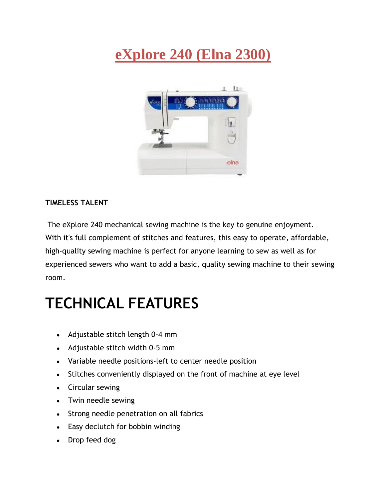## **eXplore 240 (Elna 2300)**



## **TIMELESS TALENT**

The eXplore 240 mechanical sewing machine is the key to genuine enjoyment. With it's full complement of stitches and features, this easy to operate, affordable, high-quality sewing machine is perfect for anyone learning to sew as well as for experienced sewers who want to add a basic, quality sewing machine to their sewing room.

## **TECHNICAL FEATURES**

- Adjustable stitch length 0-4 mm
- Adjustable stitch width 0-5 mm
- Variable needle positions-left to center needle position
- Stitches conveniently displayed on the front of machine at eye level
- Circular sewing
- Twin needle sewing
- Strong needle penetration on all fabrics
- Easy declutch for bobbin winding
- Drop feed dog